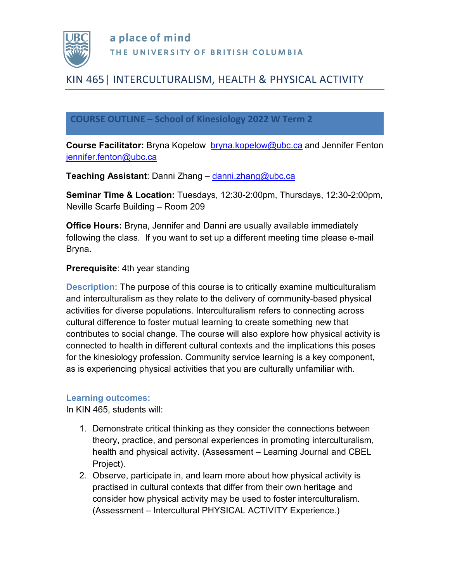

## a place of mind THE UNIVERSITY OF BRITISH COLUMBIA

# KIN 465| INTERCULTURALISM, HEALTH & PHYSICAL ACTIVITY

**COURSE OUTLINE – School of Kinesiology 2022 W Term 2**

**Course Facilitator:** Bryna Kopelow [bryna.kopelow@ubc.ca](mailto:bryna.kopelow@ubc.ca) and Jennifer Fenton [jennifer.fenton@ubc.ca](mailto:jennifer.fenton@ubc.ca)

**Teaching Assistant**: Danni Zhang – [danni.zhang@ubc.ca](mailto:danni.zhang@ubc.ca)

**Seminar Time & Location:** Tuesdays, 12:30-2:00pm, Thursdays, 12:30-2:00pm, Neville Scarfe Building – Room 209

**Office Hours:** Bryna, Jennifer and Danni are usually available immediately following the class. If you want to set up a different meeting time please e-mail Bryna.

### **Prerequisite**: 4th year standing

**Description:** The purpose of this course is to critically examine multiculturalism and interculturalism as they relate to the delivery of community-based physical activities for diverse populations. Interculturalism refers to connecting across cultural difference to foster mutual learning to create something new that contributes to social change. The course will also explore how physical activity is connected to health in different cultural contexts and the implications this poses for the kinesiology profession. Community service learning is a key component, as is experiencing physical activities that you are culturally unfamiliar with.

#### **Learning outcomes:**

In KIN 465, students will:

- 1. Demonstrate critical thinking as they consider the connections between theory, practice, and personal experiences in promoting interculturalism, health and physical activity. (Assessment – Learning Journal and CBEL Project).
- 2. Observe, participate in, and learn more about how physical activity is practised in cultural contexts that differ from their own heritage and consider how physical activity may be used to foster interculturalism. (Assessment – Intercultural PHYSICAL ACTIVITY Experience.)